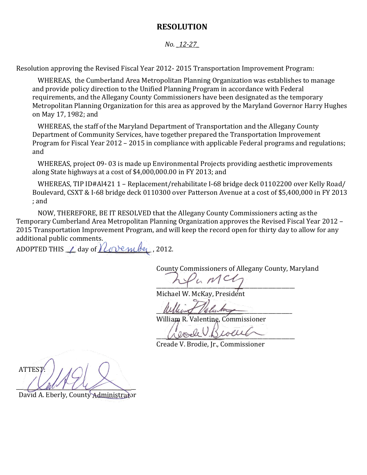#### **RESOLUTION**

#### *No. \_12-27\_*

Resolution approving the Revised Fiscal Year 2012- 2015 Transportation Improvement Program:

WHEREAS, the Cumberland Area Metropolitan Planning Organization was establishes to manage and provide policy direction to the Unified Planning Program in accordance with Federal requirements, and the Allegany County Commissioners have been designated as the temporary Metropolitan Planning Organization for this area as approved by the Maryland Governor Harry Hughes on May 17, 1982; and

WHEREAS, the staff of the Maryland Department of Transportation and the Allegany County Department of Community Services, have together prepared the Transportation Improvement Program for Fiscal Year 2012 – 2015 in compliance with applicable Federal programs and regulations; and

WHEREAS, project 09- 03 is made up Environmental Projects providing aesthetic improvements along State highways at a cost of \$4,000,000.00 in FY 2013; and

WHEREAS, TIP ID#Al421 1 – Replacement/rehabilitate I-68 bridge deck 01102200 over Kelly Road/ Boulevard, CSXT & I-68 bridge deck 0110300 over Patterson Avenue at a cost of \$5,400,000 in FY 2013 ; and

NOW, THEREFORE, BE IT RESOLVED that the Allegany County Commissioners acting as the Temporary Cumberland Area Metropolitan Planning Organization approves the Revised Fiscal Year 2012 – 2015 Transportation Improvement Program, and will keep the record open for thirty day to allow for any additional public comments.

ADOPTED THIS  $\angle$  day of  $\angle$  ove mber, 2012.

County Commissioners of Allegany County, Maryland

 $\sim$ 

Michael W. McKay, President

 $\mu\mu\mu\sim 1$  Valuto

William R. Valentine, Commissioner

 $\mathcal{W}$  out  $\mathcal{W}$ 

Creade V. Brodie, Jr., Commissioner

ATTEST:  $\frac{1}{2}$ 

David A. Eberly, County Administrator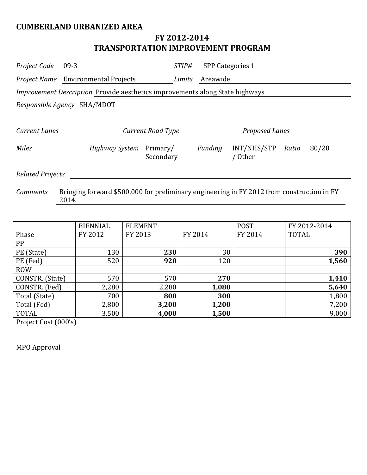## **CUMBERLAND URBANIZED AREA**

# **FY 2012-2014 TRANSPORTATION IMPROVEMENT PROGRAM**

| Project Code                       | $09-3$                                                                              | STIP#                 |                       | SPP Categories 1     |       |       |
|------------------------------------|-------------------------------------------------------------------------------------|-----------------------|-----------------------|----------------------|-------|-------|
|                                    | Project Name Environmental Projects                                                 | Limits                | Areawide              |                      |       |       |
|                                    | <i>Improvement Description</i> Provide aesthetics improvements along State highways |                       |                       |                      |       |       |
|                                    | Responsible Agency SHA/MDOT                                                         |                       |                       |                      |       |       |
|                                    |                                                                                     |                       |                       |                      |       |       |
| Current Road Type<br>Current Lanes |                                                                                     |                       | <b>Proposed Lanes</b> |                      |       |       |
| <b>Miles</b>                       | Highway System                                                                      | Primary/<br>Secondary | Funding               | INT/NHS/STP<br>Other | Ratio | 80/20 |
| <b>Related Projects</b>            |                                                                                     |                       |                       |                      |       |       |

*Comments* Bringing forward \$500,000 for preliminary engineering in FY 2012 from construction in FY 2014.

|                 | <b>BIENNIAL</b> | <b>ELEMENT</b> |         | <b>POST</b> | FY 2012-2014 |
|-----------------|-----------------|----------------|---------|-------------|--------------|
| Phase           | FY 2012         | FY 2013        | FY 2014 | FY 2014     | <b>TOTAL</b> |
| PP              |                 |                |         |             |              |
| PE (State)      | 130             | 230            | 30      |             | 390          |
| PE (Fed)        | 520             | 920            | 120     |             | 1,560        |
| <b>ROW</b>      |                 |                |         |             |              |
| CONSTR. (State) | 570             | 570            | 270     |             | 1,410        |
| CONSTR. (Fed)   | 2,280           | 2,280          | 1,080   |             | 5,640        |
| Total (State)   | 700             | 800            | 300     |             | 1,800        |
| Total (Fed)     | 2,800           | 3,200          | 1,200   |             | 7,200        |
| TOTAL           | 3,500           | 4,000          | 1,500   |             | 9,000        |

Project Cost (000's)

MPO Approval